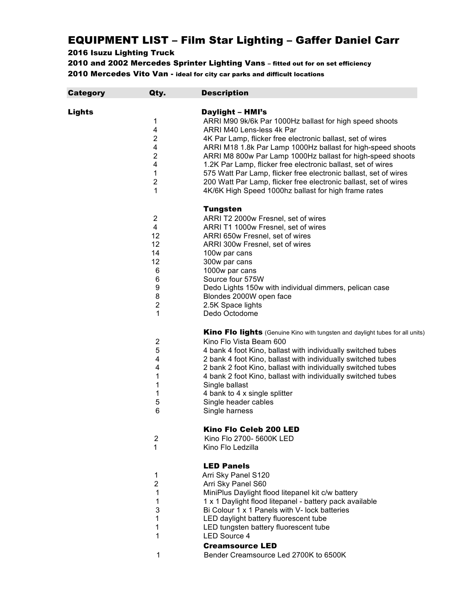## EQUIPMENT LIST – Film Star Lighting – Gaffer Daniel Carr

## 2016 Isuzu Lighting Truck

2010 and 2002 Mercedes Sprinter Lighting Vans – fitted out for on set efficiency 2010 Mercedes Vito Van - ideal for city car parks and difficult locations

| Category | Qty.                    | <b>Description</b>                                                                                       |
|----------|-------------------------|----------------------------------------------------------------------------------------------------------|
|          |                         |                                                                                                          |
| Lights   |                         | <b>Daylight - HMI's</b>                                                                                  |
|          | 1                       | ARRI M90 9k/6k Par 1000Hz ballast for high speed shoots                                                  |
|          | 4                       | ARRI M40 Lens-less 4k Par                                                                                |
|          | $\boldsymbol{2}$        | 4K Par Lamp, flicker free electronic ballast, set of wires                                               |
|          | 4                       | ARRI M18 1.8k Par Lamp 1000Hz ballast for high-speed shoots                                              |
|          | $\boldsymbol{2}$        | ARRI M8 800w Par Lamp 1000Hz ballast for high-speed shoots                                               |
|          | 4                       | 1.2K Par Lamp, flicker free electronic ballast, set of wires                                             |
|          | 1                       | 575 Watt Par Lamp, flicker free electronic ballast, set of wires                                         |
|          | $\mathbf 2$             | 200 Watt Par Lamp, flicker free electronic ballast, set of wires                                         |
|          | 1                       | 4K/6K High Speed 1000hz ballast for high frame rates                                                     |
|          |                         |                                                                                                          |
|          |                         | <b>Tungsten</b>                                                                                          |
|          | 2                       | ARRI T2 2000w Fresnel, set of wires                                                                      |
|          | 4                       | ARRI T1 1000w Fresnel, set of wires                                                                      |
|          | 12                      | ARRI 650w Fresnel, set of wires                                                                          |
|          | 12                      | ARRI 300w Fresnel, set of wires                                                                          |
|          | 14                      | 100w par cans                                                                                            |
|          | 12                      | 300w par cans                                                                                            |
|          | 6                       | 1000w par cans                                                                                           |
|          | 6                       | Source four 575W                                                                                         |
|          | 9                       | Dedo Lights 150w with individual dimmers, pelican case                                                   |
|          | 8                       | Blondes 2000W open face                                                                                  |
|          | $\overline{\mathbf{c}}$ | 2.5K Space lights                                                                                        |
|          | 1                       | Dedo Octodome                                                                                            |
|          |                         |                                                                                                          |
|          |                         | Kino Flo lights (Genuine Kino with tungsten and daylight tubes for all units)                            |
|          | 2                       | Kino Flo Vista Beam 600                                                                                  |
|          | 5                       | 4 bank 4 foot Kino, ballast with individually switched tubes                                             |
|          | 4                       | 2 bank 4 foot Kino, ballast with individually switched tubes                                             |
|          | 4                       | 2 bank 2 foot Kino, ballast with individually switched tubes                                             |
|          | 1                       | 4 bank 2 foot Kino, ballast with individually switched tubes                                             |
|          | 1                       | Single ballast                                                                                           |
|          | 1                       |                                                                                                          |
|          | 5                       | 4 bank to 4 x single splitter                                                                            |
|          | 6                       | Single header cables                                                                                     |
|          |                         | Single harness                                                                                           |
|          |                         | Kino Flo Celeb 200 LED                                                                                   |
|          |                         | Kino Flo 2700- 5600K LED                                                                                 |
|          | 2<br>1                  | Kino Flo Ledzilla                                                                                        |
|          |                         |                                                                                                          |
|          |                         | <b>LED Panels</b>                                                                                        |
|          | 1                       | Arri Sky Panel S120                                                                                      |
|          | 2                       |                                                                                                          |
|          | 1                       | Arri Sky Panel S60                                                                                       |
|          |                         | MiniPlus Daylight flood litepanel kit c/w battery                                                        |
|          | 1<br>3                  | 1 x 1 Daylight flood litepanel - battery pack available<br>Bi Colour 1 x 1 Panels with V- lock batteries |
|          |                         |                                                                                                          |
|          | 1                       | LED daylight battery fluorescent tube                                                                    |
|          | 1                       | LED tungsten battery fluorescent tube                                                                    |
|          | 1                       | <b>LED Source 4</b>                                                                                      |
|          |                         | <b>Creamsource LED</b>                                                                                   |
|          | 1                       | Bender Creamsource Led 2700K to 6500K                                                                    |
|          |                         |                                                                                                          |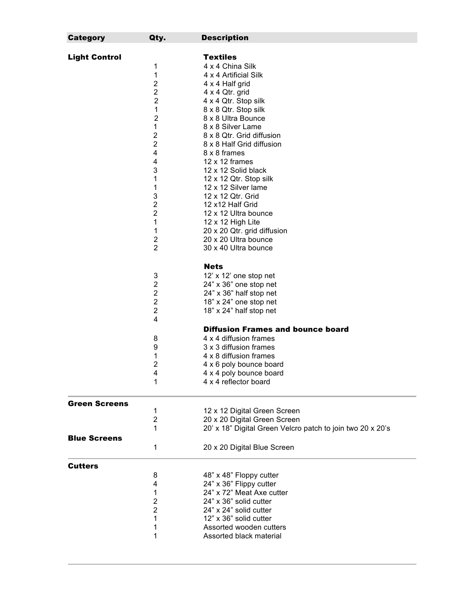| <b>Category</b>      | Qty.                    | <b>Description</b>                                         |
|----------------------|-------------------------|------------------------------------------------------------|
| <b>Light Control</b> |                         | <b>Textiles</b>                                            |
|                      |                         |                                                            |
|                      | 1                       | 4 x 4 China Silk                                           |
|                      | 1                       | 4 x 4 Artificial Silk                                      |
|                      | $\overline{\mathbf{c}}$ | 4 x 4 Half grid                                            |
|                      | $\overline{\mathbf{c}}$ | 4 x 4 Qtr. grid                                            |
|                      | 2                       | 4 x 4 Qtr. Stop silk                                       |
|                      | 1                       | 8 x 8 Qtr. Stop silk                                       |
|                      | $\overline{2}$          | 8 x 8 Ultra Bounce                                         |
|                      | $\mathbf{1}$            | 8 x 8 Silver Lame                                          |
|                      | $\overline{\mathbf{c}}$ | 8 x 8 Qtr. Grid diffusion                                  |
|                      | $\overline{2}$          | 8 x 8 Half Grid diffusion                                  |
|                      | 4                       | 8 x 8 frames                                               |
|                      | 4                       | $12 \times 12$ frames                                      |
|                      | 3                       | 12 x 12 Solid black                                        |
|                      | $\mathbf{1}$            | 12 x 12 Qtr. Stop silk                                     |
|                      | 1                       | 12 x 12 Silver lame                                        |
|                      | 3                       | 12 x 12 Qtr. Grid                                          |
|                      | $\overline{\mathbf{c}}$ | 12 x12 Half Grid                                           |
|                      | 2                       | 12 x 12 Ultra bounce                                       |
|                      | 1                       | 12 x 12 High Lite                                          |
|                      |                         |                                                            |
|                      | 1                       | 20 x 20 Qtr. grid diffusion<br>20 x 20 Ultra bounce        |
|                      | 2<br>$\overline{2}$     |                                                            |
|                      |                         | 30 x 40 Ultra bounce                                       |
|                      |                         | <b>Nets</b>                                                |
|                      | 3                       | 12' x 12' one stop net                                     |
|                      | $\overline{\mathbf{c}}$ | 24" x 36" one stop net                                     |
|                      | $\overline{\mathbf{c}}$ | 24" x 36" half stop net                                    |
|                      | $\mathbf 2$             | 18" x 24" one stop net                                     |
|                      | $\overline{\mathbf{c}}$ | 18" x 24" half stop net                                    |
|                      | $\overline{4}$          |                                                            |
|                      |                         | <b>Diffusion Frames and bounce board</b>                   |
|                      | 8                       | 4 x 4 diffusion frames                                     |
|                      | 9                       | 3 x 3 diffusion frames                                     |
|                      | 1                       | 4 x 8 diffusion frames                                     |
|                      | 2                       | 4 x 6 poly bounce board                                    |
|                      | 4                       | 4 x 4 poly bounce board                                    |
|                      | 1                       | 4 x 4 reflector board                                      |
|                      |                         |                                                            |
| <b>Green Screens</b> |                         |                                                            |
|                      | 1                       | 12 x 12 Digital Green Screen                               |
|                      | $\overline{2}$          | 20 x 20 Digital Green Screen                               |
|                      | 1                       | 20' x 18" Digital Green Velcro patch to join two 20 x 20's |
| <b>Blue Screens</b>  |                         |                                                            |
|                      | 1                       | 20 x 20 Digital Blue Screen                                |
|                      |                         |                                                            |
| <b>Cutters</b>       | 8                       | 48" x 48" Floppy cutter                                    |
|                      | 4                       | 24" x 36" Flippy cutter                                    |
|                      |                         |                                                            |
|                      | 1                       | 24" x 72" Meat Axe cutter                                  |
|                      | 2                       | 24" x 36" solid cutter                                     |
|                      | $\overline{2}$          | 24" x 24" solid cutter                                     |
|                      | 1                       | 12" x 36" solid cutter                                     |
|                      | 1                       | Assorted wooden cutters                                    |
|                      | 1                       | Assorted black material                                    |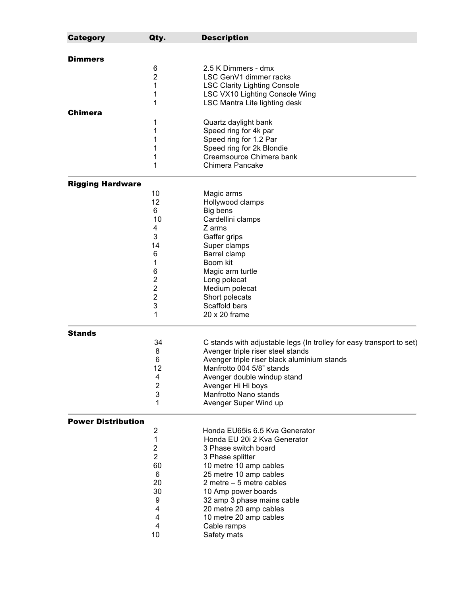| <b>Category</b>           | Qty.                    | <b>Description</b>                                                   |
|---------------------------|-------------------------|----------------------------------------------------------------------|
|                           |                         |                                                                      |
| <b>Dimmers</b>            |                         |                                                                      |
|                           | 6                       | 2.5 K Dimmers - dmx                                                  |
|                           | $\overline{2}$          | LSC GenV1 dimmer racks                                               |
|                           | 1                       | <b>LSC Clarity Lighting Console</b>                                  |
|                           | 1                       | <b>LSC VX10 Lighting Console Wing</b>                                |
|                           | 1                       | <b>LSC Mantra Lite lighting desk</b>                                 |
| <b>Chimera</b>            |                         |                                                                      |
|                           | 1                       | Quartz daylight bank                                                 |
|                           | 1                       | Speed ring for 4k par                                                |
|                           | 1                       | Speed ring for 1.2 Par                                               |
|                           | 1                       | Speed ring for 2k Blondie                                            |
|                           | 1                       | Creamsource Chimera bank                                             |
|                           | 1                       | Chimera Pancake                                                      |
| <b>Rigging Hardware</b>   |                         |                                                                      |
|                           | 10                      | Magic arms                                                           |
|                           | 12                      | Hollywood clamps                                                     |
|                           | 6                       | Big bens                                                             |
|                           | 10                      | Cardellini clamps                                                    |
|                           | 4                       | Z arms                                                               |
|                           | 3                       | Gaffer grips                                                         |
|                           | 14                      | Super clamps                                                         |
|                           | 6                       | Barrel clamp                                                         |
|                           | 1                       | Boom kit                                                             |
|                           | 6                       | Magic arm turtle                                                     |
|                           | 2                       | Long polecat                                                         |
|                           | $\overline{2}$          | Medium polecat                                                       |
|                           | $\overline{\mathbf{c}}$ | Short polecats                                                       |
|                           | 3                       | Scaffold bars                                                        |
|                           | 1                       | 20 x 20 frame                                                        |
| <b>Stands</b>             |                         |                                                                      |
|                           | 34                      | C stands with adjustable legs (In trolley for easy transport to set) |
|                           | 8                       | Avenger triple riser steel stands                                    |
|                           | 6                       | Avenger triple riser black aluminium stands                          |
|                           | 12                      | Manfrotto 004 5/8" stands                                            |
|                           | 4                       | Avenger double windup stand                                          |
|                           | $\overline{2}$          | Avenger Hi Hi boys                                                   |
|                           | 3                       | Manfrotto Nano stands                                                |
|                           | 1                       | Avenger Super Wind up                                                |
| <b>Power Distribution</b> |                         |                                                                      |
|                           | 2                       | Honda EU65is 6.5 Kva Generator                                       |
|                           | 1                       | Honda EU 20i 2 Kva Generator                                         |
|                           | 2                       | 3 Phase switch board                                                 |
|                           | $\overline{2}$          | 3 Phase splitter                                                     |
|                           | 60                      | 10 metre 10 amp cables                                               |
|                           | 6                       | 25 metre 10 amp cables                                               |
|                           | 20                      | 2 metre $-5$ metre cables                                            |
|                           | 30                      | 10 Amp power boards                                                  |
|                           | 9                       | 32 amp 3 phase mains cable                                           |
|                           | 4                       | 20 metre 20 amp cables                                               |
|                           | 4                       | 10 metre 20 amp cables                                               |
|                           | 4                       | Cable ramps                                                          |
|                           | 10                      | Safety mats                                                          |